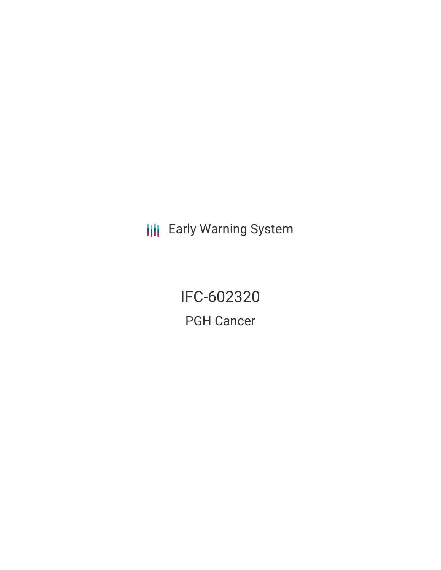**III** Early Warning System

IFC-602320 PGH Cancer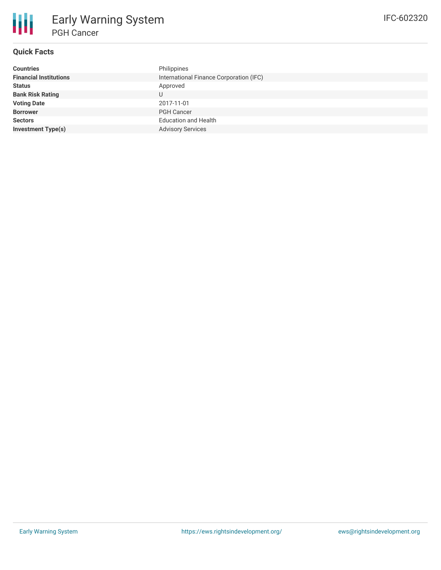

# **Quick Facts**

| Philippines                             |
|-----------------------------------------|
| International Finance Corporation (IFC) |
| Approved                                |
| U                                       |
| 2017-11-01                              |
| <b>PGH Cancer</b>                       |
| <b>Education and Health</b>             |
| <b>Advisory Services</b>                |
|                                         |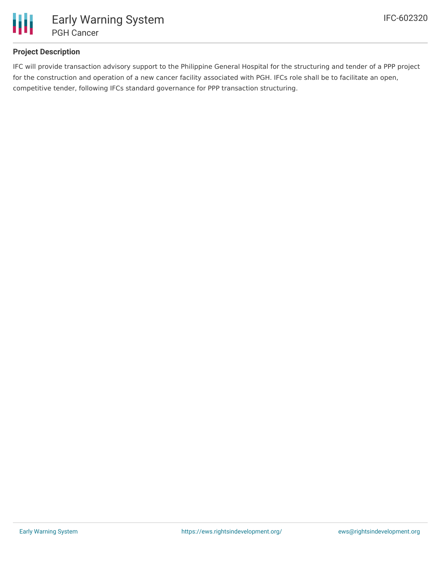

# **Project Description**

IFC will provide transaction advisory support to the Philippine General Hospital for the structuring and tender of a PPP project for the construction and operation of a new cancer facility associated with PGH. IFCs role shall be to facilitate an open, competitive tender, following IFCs standard governance for PPP transaction structuring.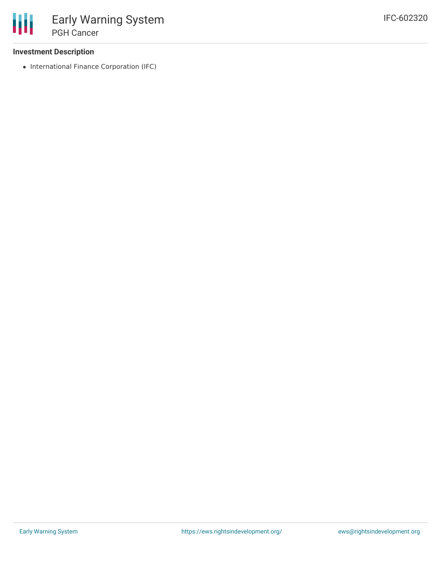## **Investment Description**

• International Finance Corporation (IFC)